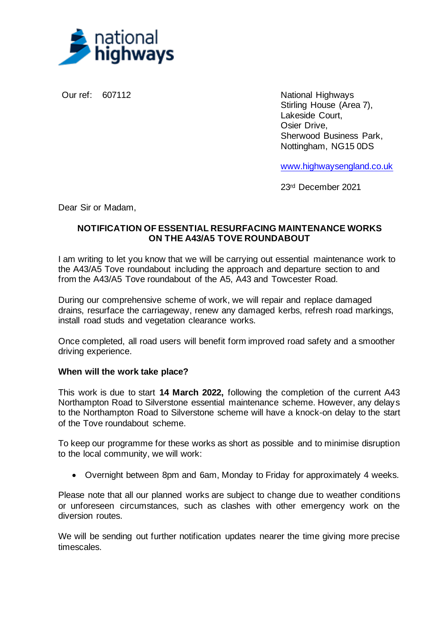

Our ref: 607112 National Highways Stirling House (Area 7), Lakeside Court, Osier Drive, Sherwood Business Park, Nottingham, NG15 0DS

[www.highwaysengland.co.uk](http://www.highwaysengland.co.uk/)

23rd December 2021

Dear Sir or Madam,

## **NOTIFICATION OF ESSENTIAL RESURFACING MAINTENANCE WORKS ON THE A43/A5 TOVE ROUNDABOUT**

I am writing to let you know that we will be carrying out essential maintenance work to the A43/A5 Tove roundabout including the approach and departure section to and from the A43/A5 Tove roundabout of the A5, A43 and Towcester Road.

During our comprehensive scheme of work, we will repair and replace damaged drains, resurface the carriageway, renew any damaged kerbs, refresh road markings, install road studs and vegetation clearance works.

Once completed, all road users will benefit form improved road safety and a smoother driving experience.

## **When will the work take place?**

This work is due to start **14 March 2022,** following the completion of the current A43 Northampton Road to Silverstone essential maintenance scheme. However, any delays to the Northampton Road to Silverstone scheme will have a knock-on delay to the start of the Tove roundabout scheme.

To keep our programme for these works as short as possible and to minimise disruption to the local community, we will work:

• Overnight between 8pm and 6am, Monday to Friday for approximately 4 weeks.

Please note that all our planned works are subject to change due to weather conditions or unforeseen circumstances, such as clashes with other emergency work on the diversion routes.

We will be sending out further notification updates nearer the time giving more precise timescales.